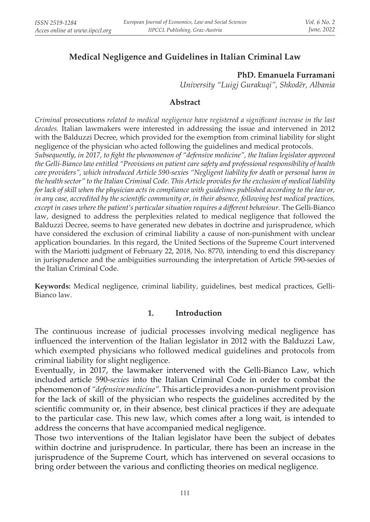# **Medical Negligence and Guidelines in Italian Criminal Law**

# **PhD. Emanuela Furramani**

*University "Luigj Gurakuqi", Shkodër, Albania*

## **Abstract**

*Criminal* prosecutions *related to medical negligence have registered a significant increase in the last decades.* Italian lawmakers were interested in addressing the issue and intervened in 2012 with the Balduzzi Decree, which provided for the exemption from criminal liability for slight negligence of the physician who acted following the guidelines and medical protocols.

*Subsequently, in 2017, to fight the phenomenon of "defensive medicine", the Italian legislator approved the Gelli-Bianco law entitled "Provisions on patient care safety and professional responsibility of health care providers", which introduced Article 590-sexies "Negligent liability for death or personal harm in the health sector" to the Italian Criminal Code. This Article provides for the exclusion of medical liability for lack of skill when the physician acts in compliance with guidelines published according to the law or, in any case, accredited by the scientific community or, in their absence, following best medical practices, except in cases where the patient's particular situation requires a different behaviour.* The Gelli-Bianco law, designed to address the perplexities related to medical negligence that followed the Balduzzi Decree, seems to have generated new debates in doctrine and jurisprudence, which have considered the exclusion of criminal liability a cause of non-punishment with unclear application boundaries. In this regard, the United Sections of the Supreme Court intervened with the Mariotti judgment of February 22, 2018, No. 8770, intending to end this discrepancy in jurisprudence and the ambiguities surrounding the interpretation of Article 590-sexies of the Italian Criminal Code.

**Keywords:** Medical negligence, criminal liability, guidelines, best medical practices, Gelli-Bianco law.

### **1. Introduction**

The continuous increase of judicial processes involving medical negligence has influenced the intervention of the Italian legislator in 2012 with the Balduzzi Law, which exempted physicians who followed medical guidelines and protocols from criminal liability for slight negligence.

Eventually, in 2017, the lawmaker intervened with the Gelli-Bianco Law, which included article 590-*sexies* into the Italian Criminal Code in order to combat the phenomenon of *"defensive medicine".* This article provides a non-punishment provision for the lack of skill of the physician who respects the guidelines accredited by the scientific community or, in their absence, best clinical practices if they are adequate to the particular case. This new law, which comes after a long wait, is intended to address the concerns that have accompanied medical negligence.

Those two interventions of the Italian legislator have been the subject of debates within doctrine and jurisprudence. In particular, there has been an increase in the jurisprudence of the Supreme Court, which has intervened on several occasions to bring order between the various and conflicting theories on medical negligence.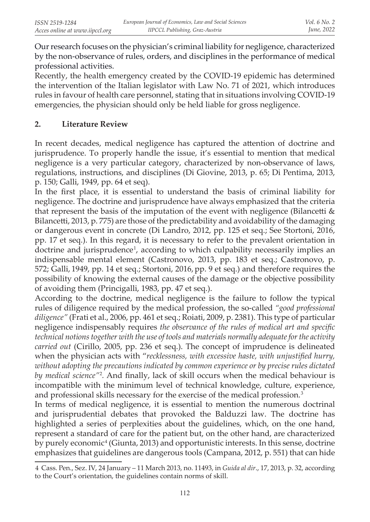Our research focuses on the physician's criminal liability for negligence, characterized by the non-observance of rules, orders, and disciplines in the performance of medical professional activities.

Recently, the health emergency created by the COVID-19 epidemic has determined the intervention of the Italian legislator with Law No. 71 of 2021, which introduces rules in favour of health care personnel, stating that in situations involving COVID-19 emergencies, the physician should only be held liable for gross negligence.

# **2. Literature Review**

In recent decades, medical negligence has captured the attention of doctrine and jurisprudence. To properly handle the issue, it's essential to mention that medical negligence is a very particular category, characterized by non-observance of laws, regulations, instructions, and disciplines (Di Giovine, 2013, p. 65; Di Pentima, 2013, p. 150; Galli, 1949, pp. 64 et seq).

In the first place, it is essential to understand the basis of criminal liability for negligence. The doctrine and jurisprudence have always emphasized that the criteria that represent the basis of the imputation of the event with negligence (Bilancetti & Bilancetti, 2013, p. 775) are those of the predictability and avoidability of the damaging or dangerous event in concrete (Di Landro, 2012, pp. 125 et seq.; See Stortoni, 2016, pp. 17 et seq.). In this regard, it is necessary to refer to the prevalent orientation in doctrine and jurisprudence<sup>1</sup>, according to which culpability necessarily implies an indispensable mental element (Castronovo, 2013, pp. 183 et seq.; Castronovo, p. 572; Galli, 1949, pp. 14 et seq.; Stortoni, 2016, pp. 9 et seq.) and therefore requires the possibility of knowing the external causes of the damage or the objective possibility of avoiding them (Princigalli, 1983, pp. 47 et seq.).

According to the doctrine, medical negligence is the failure to follow the typical rules of diligence required by the medical profession, the so-called *"good professional diligence"* (Frati et al., 2006, pp. 461 et seq.; Roiati, 2009, p. 2381). This type of particular negligence indispensably requires *the observance of the rules of medical art and specific technical notions together with the use of tools and materials normally adequate for the activity carried out* (Cirillo, 2005, pp. 236 et seq.). The concept of imprudence is delineated when the physician acts with "*recklessness, with excessive haste, with unjustified hurry, without adopting the precautions indicated by common experience or by precise rules dictated by medical science"*<sup>2</sup>*.* And finally, lack of skill occurs when the medical behaviour is incompatible with the minimum level of technical knowledge, culture, experience, and professional skills necessary for the exercise of the medical profession.<sup>3</sup>

In terms of medical negligence, it is essential to mention the numerous doctrinal and jurisprudential debates that provoked the Balduzzi law. The doctrine has highlighted a series of perplexities about the guidelines, which, on the one hand, represent a standard of care for the patient but, on the other hand, are characterized by purely economic<sup>4</sup> (Giunta, 2013) and opportunistic interests. In this sense, doctrine emphasizes that guidelines are dangerous tools (Campana, 2012, p. 551) that can hide

<sup>4</sup> Cass. Pen., Sez. IV, 24 January – 11 March 2013, no. 11493, in *Guida al dir*., 17, 2013, p. 32, according to the Court's orientation, the guidelines contain norms of skill.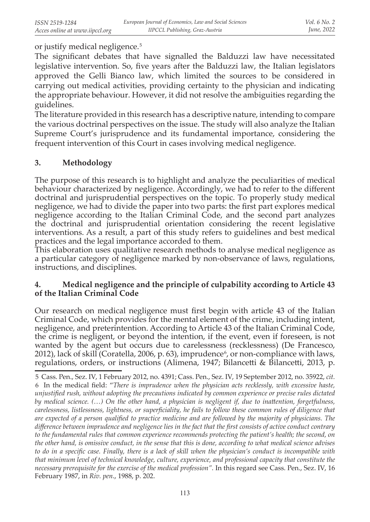or justify medical negligence.<sup>5</sup>

The significant debates that have signalled the Balduzzi law have necessitated legislative intervention. So, five years after the Balduzzi law, the Italian legislators approved the Gelli Bianco law, which limited the sources to be considered in carrying out medical activities, providing certainty to the physician and indicating the appropriate behaviour. However, it did not resolve the ambiguities regarding the guidelines.

The literature provided in this research has a descriptive nature, intending to compare the various doctrinal perspectives on the issue. The study will also analyze the Italian Supreme Court's jurisprudence and its fundamental importance, considering the frequent intervention of this Court in cases involving medical negligence.

# **3. Methodology**

The purpose of this research is to highlight and analyze the peculiarities of medical behaviour characterized by negligence. Accordingly, we had to refer to the different doctrinal and jurisprudential perspectives on the topic. To properly study medical negligence, we had to divide the paper into two parts: the first part explores medical negligence according to the Italian Criminal Code, and the second part analyzes the doctrinal and jurisprudential orientation considering the recent legislative interventions. As a result, a part of this study refers to guidelines and best medical practices and the legal importance accorded to them.

This elaboration uses qualitative research methods to analyse medical negligence as a particular category of negligence marked by non-observance of laws, regulations, instructions, and disciplines.

## **4. Medical negligence and the principle of culpability according to Article 43 of the Italian Criminal Code**

Our research on medical negligence must first begin with article 43 of the Italian Criminal Code, which provides for the mental element of the crime, including intent, negligence, and preterintention. According to Article 43 of the Italian Criminal Code, the crime is negligent, or beyond the intention, if the event, even if foreseen, is not wanted by the agent but occurs due to carelessness (recklessness) (De Francesco, 2012), lack of skill (Coratella, 2006, p. 63), imprudence $\frac{6}{7}$ , or non-compliance with laws, regulations, orders, or instructions (Alimena, 1947; Bilancetti & Bilancetti, 2013, p.

<sup>5</sup> Cass. Pen., Sez. IV, 1 February 2012, no. 4391; Cass. Pen., Sez. IV, 19 September 2012, no. 35922, *cit.*  6 In the medical field: "*There is imprudence when the physician acts recklessly, with excessive haste, unjustified rush, without adopting the precautions indicated by common experience or precise rules dictated by medical science. (…) On the other hand, a physician is negligent if, due to inattention, forgetfulness, carelessness, listlessness, lightness, or superficiality, he fails to follow these common rules of diligence that are expected of a person qualified to practice medicine and are followed by the majority of physicians. The difference between imprudence and negligence lies in the fact that the first consists of active conduct contrary to the fundamental rules that common experience recommends protecting the patient's health; the second, on the other hand, is omissive conduct, in the sense that this is done, according to what medical science advises to do in a specific case. Finally, there is a lack of skill when the physician's conduct is incompatible with that minimum level of technical knowledge, culture, experience, and professional capacity that constitute the necessary prerequisite for the exercise of the medical profession".* In this regard see Cass. Pen., Sez. IV, 16 February 1987, in *Riv. pen*., 1988, p. 202.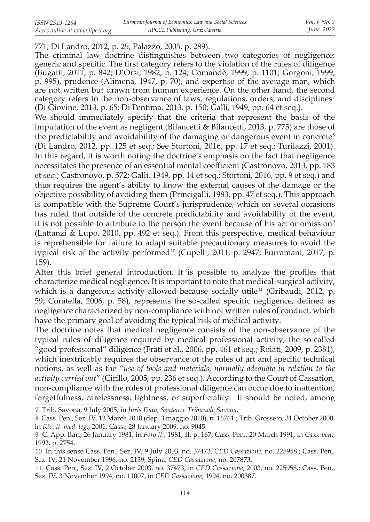# 771; Di Landro, 2012, p. 25; Palazzo, 2005, p. 289).

The criminal law doctrine distinguishes between two categories of negligence: generic and specific. The first category refers to the violation of the rules of diligence (Bugatti, 2011, p. 842; D'Orsi, 1982, p. 124; Comandè, 1999, p. 1101; Gorgoni, 1999, p. 995), prudence (Alimena, 1947, p. 70), and expertise of the average man, which are not written but drawn from human experience. On the other hand, the second category refers to the non-observance of laws, regulations, orders, and disciplines<sup>7</sup> (Di Giovine, 2013, p. 65; Di Pentima, 2013, p. 150; Galli, 1949, pp. 64 et seq.).

We should immediately specify that the criteria that represent the basis of the imputation of the event as negligent (Bilancetti & Bilancetti, 2013, p. 775) are those of the predictability and avoidability of the damaging or dangerous event in concrete<sup>8</sup> (Di Landro, 2012, pp. 125 et seq.; See Stortoni, 2016, pp. 17 et seq.; Turilazzi, 2001). In this regard, it is worth noting the doctrine's emphasis on the fact that negligence necessitates the presence of an essential mental coefficient (Castronovo, 2013, pp. 183 et seq.; Castronovo, p. 572; Galli, 1949, pp. 14 et seq.; Stortoni, 2016, pp. 9 et seq.) and thus requires the agent's ability to know the external causes of the damage or the objective possibility of avoiding them (Princigalli, 1983, pp. 47 et seq.). This approach is compatible with the Supreme Court's jurisprudence, which on several occasions has ruled that outside of the concrete predictability and avoidability of the event, it is not possible to attribute to the person the event because of his act or omission<sup>9</sup> (Lattanzi & Lupo, 2010, pp. 492 et seq.). From this perspective, medical behaviour is reprehensible for failure to adapt suitable precautionary measures to avoid the typical risk of the activity performed<sup>10</sup> (Cupelli, 2011, p. 2947; Furramani, 2017, p. 159).

After this brief general introduction, it is possible to analyze the profiles that characterize medical negligence. It is important to note that medical-surgical activity, which is a dangerous activity allowed because socially utile<sup>11</sup> (Gribaudi, 2012, p. 59; Coratella, 2006, p. 58), represents the so-called specific negligence, defined as negligence characterized by non-compliance with not written rules of conduct, which have the primary goal of avoiding the typical risk of medical activity.

The doctrine notes that medical negligence consists of the non-observance of the typical rules of diligence required by medical professional activity, the so-called "good professional" diligence (Frati et al., 2006, pp. 461 et seq.; Roiati, 2009, p. 2381), which inextricably requires the observance of the rules of art and specific technical notions, as well as the "*use of tools and materials, normally adequate in relation to the activity carried out*" (Cirillo, 2005, pp. 236 et seq.). According to the Court of Cassation, non-compliance with the rules of professional diligence can occur due to inattention, forgetfulness, carelessness, lightness, or superficiality. It should be noted, among

<sup>7</sup> Trib. Savona, 9 July 2005, in *Juris Data, Sentenze Tribunale Savona*.

<sup>8</sup> Cass. Pen., Sez. IV, 12 March 2010 (dep. 3 maggio 2010), n. 16761.; Trib. Grosseto, 31 October 2000, in *Riv. it. med. leg*., 2001; Cass., 28 January 2009, no. 9045.

<sup>9</sup> C. App. Bari, 26 January 1981, in *Foro it.*, 1981, II, p. 167; Cass. Pen., 20 March 1991, in *Cass. pen*., 1992, p. 2754.

<sup>10</sup> In this sense Cass. Pen., Sez. IV, 9 July 2003, no. 37473, *CED Cassazione*, no. 225958.; Cass. Pen., Sez. IV, 21 November 1996, no. 2139, Spina, *CED Cassazione*, no. 207873.

<sup>11</sup> Cass. Pen., Sez. IV, 2 October 2003, no. 37473, in *CED Cassazione*, 2003, no. 225958.; Cass. Pen., Sez. IV, 3 November 1994, no. 11007, in *CED Cassazione,* 1994, no. 200387.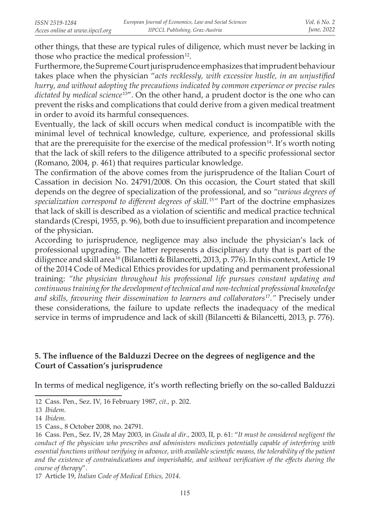other things, that these are typical rules of diligence, which must never be lacking in those who practice the medical profession $12$ .

Furthermore, the Supreme Court jurisprudence emphasizes that imprudent behaviour takes place when the physician "*acts recklessly, with excessive hustle, in an unjustified hurry, and without adopting the precautions indicated by common experience or precise rules dictated by medical science* 13". On the other hand, a prudent doctor is the one who can prevent the risks and complications that could derive from a given medical treatment in order to avoid its harmful consequences.

Eventually, the lack of skill occurs when medical conduct is incompatible with the minimal level of technical knowledge, culture, experience, and professional skills that are the prerequisite for the exercise of the medical profession<sup>14</sup>. It's worth noting that the lack of skill refers to the diligence attributed to a specific professional sector (Romano, 2004, p. 461) that requires particular knowledge.

The confirmation of the above comes from the jurisprudence of the Italian Court of Cassation in decision No. 24791/2008. On this occasion, the Court stated that skill depends on the degree of specialization of the professional, and so *"various degrees of specialization correspond to different degrees of skill.*<sup>15</sup>*"* Part of the doctrine emphasizes that lack of skill is described as a violation of scientific and medical practice technical standards (Crespi, 1955, p. 96), both due to insufficient preparation and incompetence of the physician.

According to jurisprudence, negligence may also include the physician's lack of professional upgrading. The latter represents a disciplinary duty that is part of the diligence and skill area 16 (Bilancetti & Bilancetti, 2013, p. 776). In this context, Article 19 of the 2014 Code of Medical Ethics provides for updating and permanent professional training: *"the physician throughout his professional life pursues constant updating and continuous training for the development of technical and non-technical professional knowledge and skills, favouring their dissemination to learners and collaborators*<sup>17</sup>*."* Precisely under these considerations, the failure to update reflects the inadequacy of the medical service in terms of imprudence and lack of skill (Bilancetti & Bilancetti, 2013, p. 776).

# **5. The influence of the Balduzzi Decree on the degrees of negligence and the Court of Cassation's jurisprudence**

In terms of medical negligence, it's worth reflecting briefly on the so-called Balduzzi

<sup>12</sup> Cass. Pen., Sez. IV, 16 February 1987, *cit.,* p. 202.

<sup>13</sup> *Ibidem*.

<sup>14</sup> *Ibidem*.

<sup>15</sup> Cass., 8 October 2008, no. 24791.

<sup>16</sup> Cass. Pen., Sez. IV, 28 May 2003, in *Giuda al dir.,* 2003, II, p. 61: "*It must be considered negligent the conduct of the physician who prescribes and administers medicines potentially capable of interfering with essential functions without verifying in advance, with available scientific means, the tolerability of the patient and the existence of contraindications and imperishable, and without verification of the effects during the course of therapy*".

<sup>17</sup> Article 19, *Italian Code of Medical Ethics, 2014*.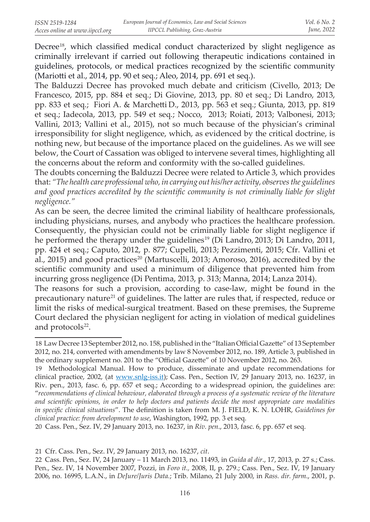Decree<sup>18</sup>, which classified medical conduct characterized by slight negligence as criminally irrelevant if carried out following therapeutic indications contained in guidelines, protocols, or medical practices recognized by the scientific community (Mariotti et al., 2014, pp. 90 et seq.; Aleo, 2014, pp. 691 et seq.).

The Balduzzi Decree has provoked much debate and criticism (Civello, 2013; De Francesco, 2015, pp. 884 et seq.; Di Giovine, 2013, pp. 80 et seq.; Di Landro, 2013, pp. 833 et seq.; Fiori A. & Marchetti D., 2013, pp. 563 et seq.; Giunta, 2013, pp. 819 et seq.; Iadecola, 2013, pp. 549 et seq.; Nocco, 2013; Roiati, 2013; Valbonesi, 2013; Vallini, 2013; Vallini et al., 2015), not so much because of the physician's criminal irresponsibility for slight negligence, which, as evidenced by the critical doctrine, is nothing new, but because of the importance placed on the guidelines. As we will see below, the Court of Cassation was obliged to intervene several times, highlighting all the concerns about the reform and conformity with the so-called guidelines.

The doubts concerning the Balduzzi Decree were related to Article 3, which provides that: *"The health care professional who, in carrying out his/her activity, observes the guidelines and good practices accredited by the scientific community is not criminally liable for slight negligence."*

As can be seen, the decree limited the criminal liability of healthcare professionals, including physicians, nurses, and anybody who practices the healthcare profession. Consequently, the physician could not be criminally liable for slight negligence if he performed the therapy under the guidelines<sup>19</sup> (Di Landro, 2013; Di Landro, 2011, pp. 424 et seq.; Caputo, 2012, p. 877; Cupelli, 2013; Pezzimenti, 2015; Cfr. Vallini et al., 2015) and good practices<sup>20</sup> (Martuscelli, 2013; Amoroso, 2016), accredited by the scientific community and used a minimum of diligence that prevented him from incurring gross negligence (Di Pentima, 2013, p. 313; Manna, 2014; Lanza 2014).

The reasons for such a provision, according to case-law, might be found in the precautionary nature<sup>21</sup> of guidelines. The latter are rules that, if respected, reduce or limit the risks of medical-surgical treatment. Based on these premises, the Supreme Court declared the physician negligent for acting in violation of medical guidelines and protocols<sup>22</sup>.

 20 Cass. Pen., Sez. IV, 29 January 2013, no. 16237, in *Riv. pen*., 2013, fasc. 6, pp. 657 et seq.

 21 Cfr. Cass. Pen., Sez. IV, 29 January 2013, no. 16237, *cit*.

<sup>18</sup> Law Decree 13 September 2012, no. 158, published in the "Italian Official Gazette" of 13 September 2012, no. 214, converted with amendments by law 8 November 2012, no. 189, Article 3, published in the ordinary supplement no. 201 to the "Official Gazette" of 10 November 2012, no. 263.

<sup>19</sup> Methodological Manual. How to produce, disseminate and update recommendations for clinical practice, 2002, (at www.snlg-iss.it); Cass. Pen., Section IV, 29 January 2013, no. 16237, in Riv. pen., 2013, fasc. 6, pp. 657 et seq.; According to a widespread opinion, the guidelines are: "*recommendations of clinical behaviour, elaborated through a process of a systematic review of the literature and scientific opinions, in order to help doctors and patients decide the most appropriate care modalities in specific clinical situations*". The definition is taken from M. J. FIELD, K. N. LOHR, *Guidelines for clinical practice: from development to use*, Washington, 1992, pp. 3 et seq.

<sup>22</sup> Cass. Pen., Sez. IV, 24 January – 11 March 2013, no. 11493, in *Guida al dir*., 17, 2013, p. 27 s.; Cass. Pen., Sez. IV, 14 November 2007, Pozzi, in *Foro it.,* 2008, II, p. 279.; Cass. Pen., Sez. IV, 19 January 2006, no. 16995, L.A.N., in *DeJure/Juris Data.*; Trib. Milano, 21 July 2000, in *Rass. dir. farm*., 2001, p.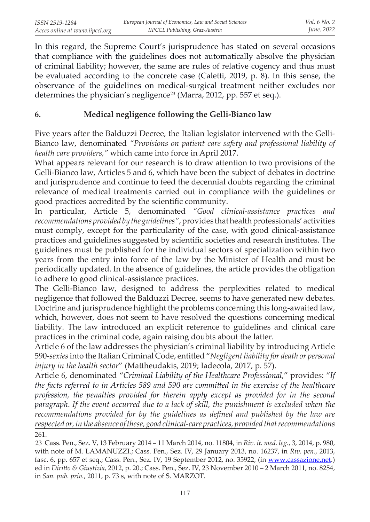In this regard, the Supreme Court's jurisprudence has stated on several occasions that compliance with the guidelines does not automatically absolve the physician of criminal liability; however, the same are rules of relative cogency and thus must be evaluated according to the concrete case (Caletti, 2019, p. 8). In this sense, the observance of the guidelines on medical-surgical treatment neither excludes nor determines the physician's negligence<sup>23</sup> (Marra, 2012, pp. 557 et seq.).

# **6. Medical negligence following the Gelli-Bianco law**

Five years after the Balduzzi Decree, the Italian legislator intervened with the Gelli-Bianco law, denominated *"Provisions on patient care safety and professional liability of health care providers,"* which came into force in April 2017.

What appears relevant for our research is to draw attention to two provisions of the Gelli-Bianco law, Articles 5 and 6, which have been the subject of debates in doctrine and jurisprudence and continue to feed the decennial doubts regarding the criminal relevance of medical treatments carried out in compliance with the guidelines or good practices accredited by the scientific community.

In particular, Article 5, denominated *"Good clinical-assistance practices and recommendations provided by the guidelines"*, provides that health professionals' activities must comply, except for the particularity of the case, with good clinical-assistance practices and guidelines suggested by scientific societies and research institutes. The guidelines must be published for the individual sectors of specialization within two years from the entry into force of the law by the Minister of Health and must be periodically updated. In the absence of guidelines, the article provides the obligation to adhere to good clinical-assistance practices.

The Gelli-Bianco law, designed to address the perplexities related to medical negligence that followed the Balduzzi Decree, seems to have generated new debates. Doctrine and jurisprudence highlight the problems concerning this long-awaited law, which, however, does not seem to have resolved the questions concerning medical liability. The law introduced an explicit reference to guidelines and clinical care practices in the criminal code, again raising doubts about the latter.

Article 6 of the law addresses the physician's criminal liability by introducing Article 590-*sexies* into the Italian Criminal Code, entitled "*Negligent liability for death or personal injury in the health sector*" (Mattheudakis, 2019; Iadecola, 2017, p. 57).

Article 6, denominated "*Criminal Liability of the Healthcare Professional*," provides: "*If the facts referred to in Articles 589 and 590 are committed in the exercise of the healthcare profession, the penalties provided for therein apply except as provided for in the second paragraph*. *If the event occurred due to a lack of skill, the punishment is excluded when the recommendations provided for by the guidelines as defined and published by the law are respected or, in the absence of these, good clinical-care practices, provided that recommendations*  261.

 23 Cass. Pen., Sez. V, 13 February 2014 – 11 March 2014, no. 11804, in *Riv. it. med. leg*., 3, 2014, p. 980, with note of M. LAMANUZZI.; Cass. Pen., Sez. IV, 29 January 2013, no. 16237, in *Riv. pen*., 2013, fasc. 6, pp. 657 et seq.; Cass. Pen., Sez. IV, 19 September 2012, no. 35922, (in www.cassazione.net.) ed in *Diritto & Giustizia*, 2012, p. 20.; Cass. Pen., Sez. IV, 23 November 2010 – 2 March 2011, no. 8254, in *San. pub. priv.*, 2011, p. 73 s, with note of S. MARZOT.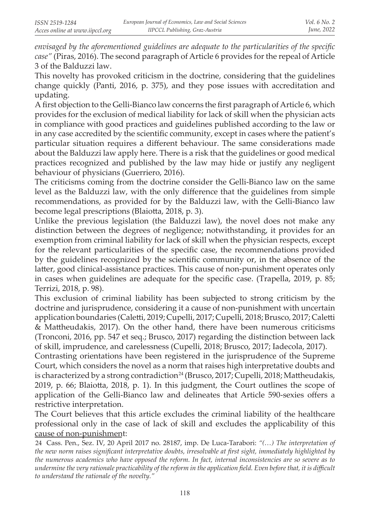*envisaged by the aforementioned guidelines are adequate to the particularities of the specific case"* (Piras, 2016). The second paragraph of Article 6 provides for the repeal of Article 3 of the Balduzzi law.

This novelty has provoked criticism in the doctrine, considering that the guidelines change quickly (Panti, 2016, p. 375), and they pose issues with accreditation and updating.

A first objection to the Gelli-Bianco law concerns the first paragraph of Article 6, which provides for the exclusion of medical liability for lack of skill when the physician acts in compliance with good practices and guidelines published according to the law or in any case accredited by the scientific community, except in cases where the patient's particular situation requires a different behaviour. The same considerations made about the Balduzzi law apply here. There is a risk that the guidelines or good medical practices recognized and published by the law may hide or justify any negligent behaviour of physicians (Guerriero, 2016).

The criticisms coming from the doctrine consider the Gelli-Bianco law on the same level as the Balduzzi law, with the only difference that the guidelines from simple recommendations, as provided for by the Balduzzi law, with the Gelli-Bianco law become legal prescriptions (Blaiotta, 2018, p. 3).

Unlike the previous legislation (the Balduzzi law), the novel does not make any distinction between the degrees of negligence; notwithstanding, it provides for an exemption from criminal liability for lack of skill when the physician respects, except for the relevant particularities of the specific case, the recommendations provided by the guidelines recognized by the scientific community or, in the absence of the latter, good clinical-assistance practices. This cause of non-punishment operates only in cases when guidelines are adequate for the specific case. (Trapella, 2019, p. 85; Terrizi, 2018, p. 98).

This exclusion of criminal liability has been subjected to strong criticism by the doctrine and jurisprudence, considering it a cause of non-punishment with uncertain application boundaries (Caletti, 2019; Cupelli, 2017; Cupelli, 2018; Brusco, 2017; Caletti & Mattheudakis, 2017). On the other hand, there have been numerous criticisms (Tronconi, 2016, pp. 547 et seq.; Brusco, 2017) regarding the distinction between lack of skill, imprudence, and carelessness (Cupelli, 2018; Brusco, 2017; Iadecola, 2017).

Contrasting orientations have been registered in the jurisprudence of the Supreme Court, which considers the novel as a norm that raises high interpretative doubts and is characterized by a strong contradiction<sup>24</sup> (Brusco, 2017; Cupelli, 2018; Mattheudakis, 2019, p. 66; Blaiotta, 2018, p. 1). In this judgment, the Court outlines the scope of application of the Gelli-Bianco law and delineates that Article 590-sexies offers a restrictive interpretation.

The Court believes that this article excludes the criminal liability of the healthcare professional only in the case of lack of skill and excludes the applicability of this cause of non-punishment:

<sup>24</sup> Cass. Pen., Sez. IV, 20 April 2017 no. 28187, imp. De Luca-Tarabori: *"(…) The interpretation of the new norm raises significant interpretative doubts, irresolvable at first sight, immediately highlighted by the numerous academics who have opposed the reform. In fact, internal inconsistencies are so severe as to undermine the very rationale practicability of the reform in the application field. Even before that, it is difficult to understand the rationale of the novelty."*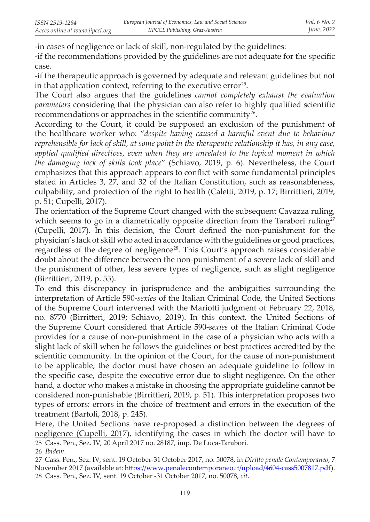-in cases of negligence or lack of skill, non-regulated by the guidelines:

-if the recommendations provided by the guidelines are not adequate for the specific case.

-if the therapeutic approach is governed by adequate and relevant guidelines but not in that application context, referring to the executive error $25$ .

The Court also argues that the guidelines *cannot completely exhaust the evaluation parameters* considering that the physician can also refer to highly qualified scientific recommendations or approaches in the scientific community<sup>26</sup>.

According to the Court, it could be supposed an exclusion of the punishment of the healthcare worker who: "*despite having caused a harmful event due to behaviour reprehensible for lack of skill, at some point in the therapeutic relationship it has, in any case, applied qualified directives, even when they are unrelated to the topical moment in which the damaging lack of skills took place*" (Schiavo, 2019, p. 6). Nevertheless, the Court emphasizes that this approach appears to conflict with some fundamental principles stated in Articles 3, 27, and 32 of the Italian Constitution, such as reasonableness, culpability, and protection of the right to health (Caletti, 2019, p. 17; Birrittieri, 2019, p. 51; Cupelli, 2017).

The orientation of the Supreme Court changed with the subsequent Cavazza ruling, which seems to go in a diametrically opposite direction from the Tarabori ruling<sup>27</sup> (Cupelli, 2017). In this decision, the Court defined the non-punishment for the physician's lack of skill who acted in accordance with the guidelines or good practices, regardless of the degree of negligence<sup>28</sup>. This Court's approach raises considerable doubt about the difference between the non-punishment of a severe lack of skill and the punishment of other, less severe types of negligence, such as slight negligence (Birrittieri, 2019, p. 55).

To end this discrepancy in jurisprudence and the ambiguities surrounding the interpretation of Article 590-*sexies* of the Italian Criminal Code, the United Sections of the Supreme Court intervened with the Mariotti judgment of February 22, 2018, no. 8770 (Birritteri, 2019; Schiavo, 2019). In this context, the United Sections of the Supreme Court considered that Article 590-*sexies* of the Italian Criminal Code provides for a cause of non-punishment in the case of a physician who acts with a slight lack of skill when he follows the guidelines or best practices accredited by the scientific community. In the opinion of the Court, for the cause of non-punishment to be applicable, the doctor must have chosen an adequate guideline to follow in the specific case, despite the executive error due to slight negligence. On the other hand, a doctor who makes a mistake in choosing the appropriate guideline cannot be considered non-punishable (Birrittieri, 2019, p. 51). This interpretation proposes two types of errors: errors in the choice of treatment and errors in the execution of the treatment (Bartoli, 2018, p. 245).

Here, the United Sections have re-proposed a distinction between the degrees of negligence (Cupelli, 2017), identifying the cases in which the doctor will have to  25 Cass. Pen., Sez. IV, 20 April 2017 no. 28187, imp. De Luca-Tarabori.

<sup>26</sup> *Ibidem*.

<sup>27</sup> Cass. Pen., Sez. IV, sent. 19 October-31 October 2017, no. 50078, in *Diritto penale Contemporaneo*, 7 November 2017 (available at: https://www.penalecontemporaneo.it/upload/4604-cass5007817.pdf).  28 Cass. Pen., Sez. IV, sent. 19 October -31 October 2017, no. 50078, *cit*.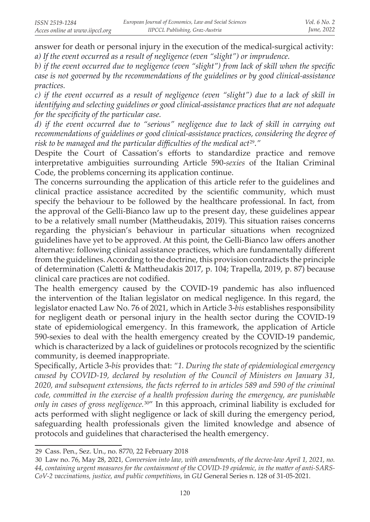answer for death or personal injury in the execution of the medical-surgical activity: *a) If the event occurred as a result of negligence (even "slight") or imprudence.*

*b) if the event occurred due to negligence (even "slight") from lack of skill when the specific case is not governed by the recommendations of the guidelines or by good clinical-assistance practices.*

*c) if the event occurred as a result of negligence (even "slight") due to a lack of skill in identifying and selecting guidelines or good clinical-assistance practices that are not adequate for the specificity of the particular case.*

*d) if the event occurred due to "serious" negligence due to lack of skill in carrying out recommendations of guidelines or good clinical-assistance practices, considering the degree of*  risk to be managed and the particular difficulties of the medical act<sup>29</sup>."

Despite the Court of Cassation's efforts to standardize practice and remove interpretative ambiguities surrounding Article 590-*sexies* of the Italian Criminal Code, the problems concerning its application continue.

The concerns surrounding the application of this article refer to the guidelines and clinical practice assistance accredited by the scientific community, which must specify the behaviour to be followed by the healthcare professional. In fact, from the approval of the Gelli-Bianco law up to the present day, these guidelines appear to be a relatively small number (Mattheudakis, 2019). This situation raises concerns regarding the physician's behaviour in particular situations when recognized guidelines have yet to be approved. At this point, the Gelli-Bianco law offers another alternative: following clinical assistance practices, which are fundamentally different from the guidelines. According to the doctrine, this provision contradicts the principle of determination (Caletti & Mattheudakis 2017, p. 104; Trapella, 2019, p. 87) because clinical care practices are not codified.

The health emergency caused by the COVID-19 pandemic has also influenced the intervention of the Italian legislator on medical negligence. In this regard, the legislator enacted Law No. 76 of 2021, which in Article 3-*bis* establishes responsibility for negligent death or personal injury in the health sector during the COVID-19 state of epidemiological emergency. In this framework, the application of Article 590-sexies to deal with the health emergency created by the COVID-19 pandemic, which is characterized by a lack of guidelines or protocols recognized by the scientific community, is deemed inappropriate.

Specifically, Article 3-*bis* provides that: *"1. During the state of epidemiological emergency caused by COVID-19, declared by resolution of the Council of Ministers on January 31, 2020, and subsequent extensions, the facts referred to in articles 589 and 590 of the criminal code, committed in the exercise of a health profession during the emergency, are punishable only in cases of gross negligence.* 30" In this approach, criminal liability is excluded for acts performed with slight negligence or lack of skill during the emergency period, safeguarding health professionals given the limited knowledge and absence of protocols and guidelines that characterised the health emergency.

<sup>29</sup> Cass. Pen., Sez. Un., no. 8770, 22 February 2018

<sup>30</sup> Law no. 76, May 28, 2021*, Conversion into law, with amendments, of the decree-law April 1, 2021, no. 44, containing urgent measures for the containment of the COVID-19 epidemic, in the matter of anti-SARS-CoV-2 vaccinations, justice, and public competitions*, in *GU* General Series n. 128 of 31-05-2021.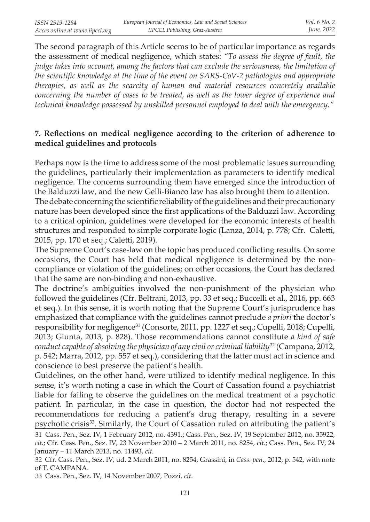The second paragraph of this Article seems to be of particular importance as regards the assessment of medical negligence, which states: *"To assess the degree of fault, the judge takes into account, among the factors that can exclude the seriousness, the limitation of the scientific knowledge at the time of the event on SARS-CoV-2 pathologies and appropriate therapies, as well as the scarcity of human and material resources concretely available concerning the number of cases to be treated, as well as the lower degree of experience and technical knowledge possessed by unskilled personnel employed to deal with the emergency."*

# **7. Reflections on medical negligence according to the criterion of adherence to medical guidelines and protocols**

Perhaps now is the time to address some of the most problematic issues surrounding the guidelines, particularly their implementation as parameters to identify medical negligence. The concerns surrounding them have emerged since the introduction of the Balduzzi law, and the new Gelli-Bianco law has also brought them to attention.

The debate concerning the scientific reliability of the guidelines and their precautionary nature has been developed since the first applications of the Balduzzi law. According to a critical opinion, guidelines were developed for the economic interests of health structures and responded to simple corporate logic (Lanza, 2014, p. 778; Cfr. Caletti, 2015, pp. 170 et seq.; Caletti, 2019).

The Supreme Court's case-law on the topic has produced conflicting results. On some occasions, the Court has held that medical negligence is determined by the noncompliance or violation of the guidelines; on other occasions, the Court has declared that the same are non-binding and non-exhaustive.

The doctrine's ambiguities involved the non-punishment of the physician who followed the guidelines (Cfr. Beltrani, 2013, pp. 33 et seq.; Buccelli et al., 2016, pp. 663 et seq.). In this sense, it is worth noting that the Supreme Court's jurisprudence has emphasized that compliance with the guidelines cannot preclude *a priori* the doctor's responsibility for negligence<sup>31</sup> (Consorte, 2011, pp. 1227 et seq.; Cupelli, 2018; Cupelli, 2013; Giunta, 2013, p. 828). Those recommendations cannot constitute *a kind of safe conduct capable of absolving the physician of any civil or criminal liability*<sup>32</sup> (Campana, 2012, p. 542; Marra, 2012, pp. 557 et seq.), considering that the latter must act in science and conscience to best preserve the patient's health.

Guidelines, on the other hand, were utilized to identify medical negligence. In this sense, it's worth noting a case in which the Court of Cassation found a psychiatrist liable for failing to observe the guidelines on the medical treatment of a psychotic patient. In particular, in the case in question, the doctor had not respected the recommendations for reducing a patient's drug therapy, resulting in a severe psychotic crisis<sup>33</sup>. Similarly, the Court of Cassation ruled on attributing the patient's

<sup>31</sup> Cass. Pen., Sez. IV, 1 February 2012, no. 4391.; Cass. Pen., Sez. IV, 19 September 2012, no. 35922, *cit.*; Cfr. Cass. Pen., Sez. IV, 23 November 2010 – 2 March 2011, no. 8254, *cit*.; Cass. Pen., Sez. IV, 24 January – 11 March 2013, no. 11493, *cit*.

<sup>32</sup> Cfr. Cass. Pen., Sez. IV, ud. 2 March 2011, no. 8254, Grassini, in *Cass. pen*., 2012, p. 542, with note of T. CAMPANA.

<sup>33</sup> Cass. Pen., Sez. IV, 14 November 2007, Pozzi, *cit*.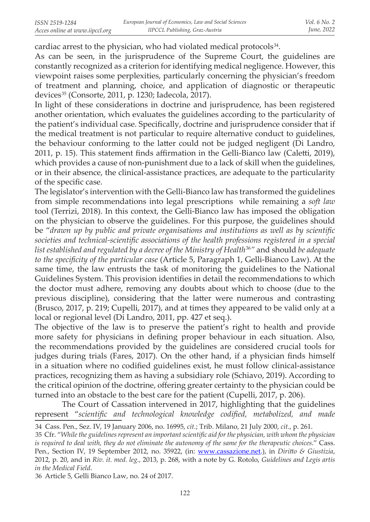cardiac arrest to the physician, who had violated medical protocols $34$ .

As can be seen, in the jurisprudence of the Supreme Court, the guidelines are constantly recognized as a criterion for identifying medical negligence. However, this viewpoint raises some perplexities, particularly concerning the physician's freedom of treatment and planning, choice, and application of diagnostic or therapeutic devices<sup>35</sup> (Consorte, 2011, p. 1230; Iadecola, 2017).

In light of these considerations in doctrine and jurisprudence, has been registered another orientation, which evaluates the guidelines according to the particularity of the patient's individual case. Specifically, doctrine and jurisprudence consider that if the medical treatment is not particular to require alternative conduct to guidelines, the behaviour conforming to the latter could not be judged negligent (Di Landro, 2011, p. 15). This statement finds affirmation in the Gelli-Bianco law (Caletti, 2019), which provides a cause of non-punishment due to a lack of skill when the guidelines, or in their absence, the clinical-assistance practices, are adequate to the particularity of the specific case.

The legislator's intervention with the Gelli-Bianco law has transformed the guidelines from simple recommendations into legal prescriptions while remaining a *soft law* tool (Terrizi, 2018). In this context, the Gelli-Bianco law has imposed the obligation on the physician to observe the guidelines. For this purpose, the guidelines should be "*drawn up by public and private organisations and institutions as well as by scientific societies and technical-scientific associations of the health professions registered in a special*  list established and regulated by a decree of the Ministry of Health<sup>36</sup>" and should be adequate *to the specificity of the particular case* (Article 5, Paragraph 1, Gelli-Bianco Law). At the same time, the law entrusts the task of monitoring the guidelines to the National Guidelines System. This provision identifies in detail the recommendations to which the doctor must adhere, removing any doubts about which to choose (due to the previous discipline), considering that the latter were numerous and contrasting (Brusco, 2017, p. 219; Cupelli, 2017), and at times they appeared to be valid only at a local or regional level (Di Landro, 2011, pp. 427 et seq.).

The objective of the law is to preserve the patient's right to health and provide more safety for physicians in defining proper behaviour in each situation. Also, the recommendations provided by the guidelines are considered crucial tools for judges during trials (Fares, 2017). On the other hand, if a physician finds himself in a situation where no codified guidelines exist, he must follow clinical-assistance practices, recognizing them as having a subsidiary role (Schiavo, 2019). According to the critical opinion of the doctrine, offering greater certainty to the physician could be turned into an obstacle to the best care for the patient (Cupelli, 2017, p. 206).

The Court of Cassation intervened in 2017, highlighting that the guidelines represent "*scientific and technological knowledge codified, metabolized, and made* 

 36 Article 5, Gelli Bianco Law, no. 24 of 2017.

<sup>34</sup> Cass. Pen., Sez. IV, 19 January 2006, no. 16995, *cit.*; Trib. Milano, 21 July 2000, *cit.*, p. 261.

<sup>35</sup> Cfr. "*While the guidelines represent an important scientific aid for the physician, with whom the physician is required to deal with, they do not eliminate the autonomy of the same for the therapeutic choices*." Cass. Pen., Section IV, 19 September 2012, no. 35922, (in: www.cassazione.net.), in *Diritto & Giustizia*, 2012, p. 20, and in *Riv. it. med. leg.,* 2013, p. 268, with a note by G. Rotolo, *Guidelines and Legis artis in the Medical Field*.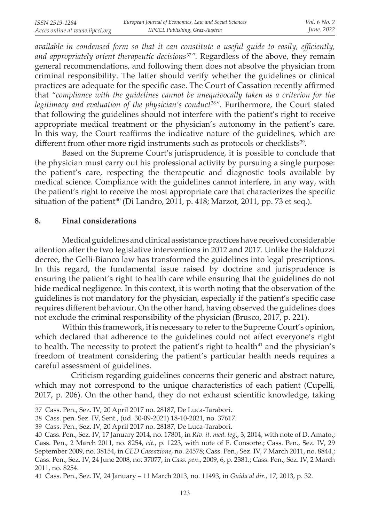*available in condensed form so that it can constitute a useful guide to easily, efficiently, and appropriately orient therapeutic decisions*<sup>37</sup>*".* Regardless of the above, they remain general recommendations, and following them does not absolve the physician from criminal responsibility. The latter should verify whether the guidelines or clinical practices are adequate for the specific case. The Court of Cassation recently affirmed that *"compliance with the guidelines cannot be unequivocally taken as a criterion for the*  legitimacy and evaluation of the physician's conduct<sup>38</sup>". Furthermore, the Court stated that following the guidelines should not interfere with the patient's right to receive appropriate medical treatment or the physician's autonomy in the patient's care. In this way, the Court reaffirms the indicative nature of the guidelines, which are different from other more rigid instruments such as protocols or checklists<sup>39</sup>.

Based on the Supreme Court's jurisprudence, it is possible to conclude that the physician must carry out his professional activity by pursuing a single purpose: the patient's care, respecting the therapeutic and diagnostic tools available by medical science. Compliance with the guidelines cannot interfere, in any way, with the patient's right to receive the most appropriate care that characterizes the specific situation of the patient<sup>40</sup> (Di Landro, 2011, p. 418; Marzot, 2011, pp. 73 et seq.).

## **8. Final considerations**

Medical guidelines and clinical assistance practices have received considerable attention after the two legislative interventions in 2012 and 2017. Unlike the Balduzzi decree, the Gelli-Bianco law has transformed the guidelines into legal prescriptions. In this regard, the fundamental issue raised by doctrine and jurisprudence is ensuring the patient's right to health care while ensuring that the guidelines do not hide medical negligence. In this context, it is worth noting that the observation of the guidelines is not mandatory for the physician, especially if the patient's specific case requires different behaviour. On the other hand, having observed the guidelines does not exclude the criminal responsibility of the physician (Brusco, 2017, p. 221).

Within this framework, it is necessary to refer to the Supreme Court's opinion, which declared that adherence to the guidelines could not affect everyone's right to health. The necessity to protect the patient's right to health<sup>41</sup> and the physician's freedom of treatment considering the patient's particular health needs requires a careful assessment of guidelines.

 Criticism regarding guidelines concerns their generic and abstract nature, which may not correspond to the unique characteristics of each patient (Cupelli, 2017, p. 206). On the other hand, they do not exhaust scientific knowledge, taking

<sup>37</sup> Cass. Pen., Sez. IV, 20 April 2017 no. 28187, De Luca-Tarabori.

<sup>38</sup> Cass. pen. Sez. IV, Sent., (ud. 30-09-2021) 18-10-2021, no. 37617.

<sup>39</sup> Cass. Pen., Sez. IV, 20 April 2017 no. 28187, De Luca-Tarabori.

<sup>40</sup> Cass. Pen., Sez. IV, 17 January 2014, no. 17801, in *Riv. it. med. leg*., 3, 2014, with note of D. Amato.; Cass. Pen., 2 March 2011, no. 8254, *cit*., p. 1223, with note of F. Consorte.; Cass. Pen., Sez. IV, 29 September 2009, no. 38154, in *CED Cassazione*, no. 24578; Cass. Pen., Sez. IV, 7 March 2011, no. 8844.; Cass. Pen., Sez. IV, 24 June 2008, no. 37077, in *Cass. pen*., 2009, 6, p. 2381*.*; Cass. Pen., Sez. IV, 2 March 2011, no. 8254*.*

<sup>41</sup> Cass. Pen., Sez. IV, 24 January – 11 March 2013, no. 11493, in *Guida al dir*., 17, 2013, p. 32.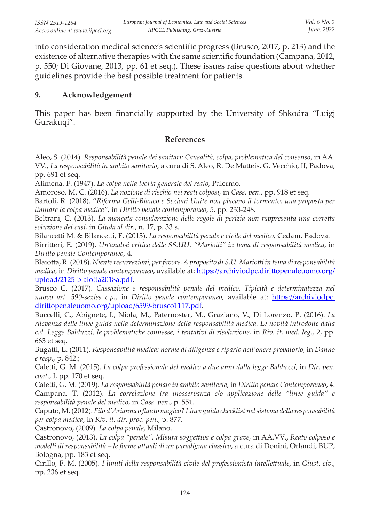into consideration medical science's scientific progress (Brusco, 2017, p. 213) and the existence of alternative therapies with the same scientific foundation (Campana, 2012, p. 550; Di Giovane, 2013, pp. 61 et seq.). These issues raise questions about whether guidelines provide the best possible treatment for patients.

#### **9. Acknowledgement**

This paper has been financially supported by the University of Shkodra "Luigj Gurakuqi".

#### **References**

Aleo, S. (2014). *Responsabilità penale dei sanitari: Causalità, colpa, problematica del consenso*, in AA. VV., *La responsabilità in ambito sanitario*, a cura di S. Aleo, R. De Matteis, G. Vecchio, II, Padova, pp. 691 et seq.

Alimena, F. (1947). *La colpa nella teoria generale del reato,* Palermo.

Amoroso, M. C. (2016). *La nozione di rischio nei reati colposi,* in *Cass. pen*., pp. 918 et seq.

Bartoli, R. (2018). "*Riforma Gelli-Bianco e Sezioni Unite non placano il tormento: una proposta per limitare la colpa medica",* in *Diritto penale contemporaneo*, 5, pp. 233-248.

Beltrani, C. (2013). *La mancata considerazione delle regole di perizia non rappresenta una corretta soluzione dei casi,* in *Giuda al dir.*, n. 17, p. 33 s.

Bilancetti M*.* & Bilancetti, F. (2013). *La responsabilità penale e civile del medico,* Cedam, Padova.

Birritteri, E. (2019). *Un'analisi critica delle SS.UU. "Mariotti" in tema di responsabilità medica*, in *Diritto penale Contemporaneo*, 4.

Blaiotta, R. (2018). *Niente resurrezioni, per favore. A proposito di S.U. Mariotti in tema di responsabilità medica*, in *Diritto penale contemporaneo*, available at: https://archiviodpc.dirittopenaleuomo.org/ upload/2125-blaiotta2018a.pdf.

Brusco C. (2017). *Cassazione e responsabilità penale del medico. Tipicità e determinatezza nel nuovo art. 590-sexies c.p.*, in *Diritto penale contemporaneo*, available at: https://archiviodpc. dirittopenaleuomo.org/upload/6599-brusco1117.pdf.

Buccelli, C., Abignete, I., Niola, M., Paternoster, M., Graziano, V., Di Lorenzo, P. (2016). *La rilevanza delle linee guida nella determinazione della responsabilità medica. Le novità introdotte dalla c.d. Legge Balduzzi, le problematiche connesse, i tentativi di risoluzione,* in *Riv. it. med. leg*., 2, pp. 663 et seq.

Bugatti, L. (2011). *Responsabilità medica: norme di diligenza e riparto dell'onere probatorio,* in *Danno e resp.,* p. 842.;

Caletti, G. M. (2015). *La colpa professionale del medico a due anni dalla legge Balduzzi*, in *Dir. pen. cont*., I, pp. 170 et seq.

Caletti, G. M. (2019). *La responsabilità penale in ambito sanitaria*, in *Diritto penale Contemporaneo*, 4. Campana, T. (2012). *La correlazione tra inosservanza e/o applicazione delle "linee guida" e responsabilità penale del medico*, in *Cass. pen*., p. 551.

Caputo, M. (2012). *Filo d'Arianna o flauto magico? Linee guida checklist nel sistema della responsabilità per colpa medica*, in *Riv. it. dir. proc. pen*., p. 877.

Castronovo, (2009). *La colpa penale*, Milano.

Castronovo, (2013). *La colpa "penale". Misura soggettiva e colpa grave,* in AA.VV., *Reato colposo e modelli di responsabilità – le forme attuali di un paradigma classico*, a cura di Donini, Orlandi, BUP, Bologna, pp. 183 et seq.

Cirillo, F. M. (2005). *I limiti della responsabilità civile del professionista intellettuale*, in *Giust. civ*., pp. 236 et seq.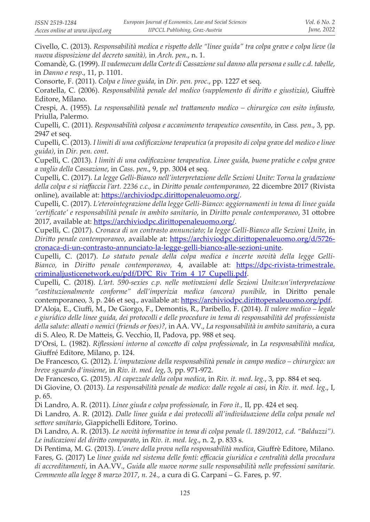Civello, C. (2013). *Responsabilità medica e rispetto delle "linee guida" tra colpa grave e colpa lieve (la nuova disposizione del decreto sanità),* in *Arch. pen*., n. 1.

Comandè, G. (1999). *Il vademecum della Corte di Cassazione sul danno alla persona e sulle c.d. tabelle*, in *Danno e resp*., 11, p. 1101.

Consorte, F. (2011). *Colpa e linee guida*, in *Dir. pen. proc*., pp. 1227 et seq.

Coratella, C. (2006). *Responsabilità penale del medico (supplemento di diritto e giustizia)*, Giuffrè Editore, Milano.

Crespi, A. (1955). *La responsabilità penale nel trattamento medico – chirurgico con esito infausto,*  Priulla, Palermo.

Cupelli, C. (2011). *Responsabilità colposa e accanimento terapeutico consentito*, in *Cass. pen*., 3, pp. 2947 et seq.

Cupelli, C. (2013). *I limiti di una codificazione terapeutica (a proposito di colpa grave del medico e linee guida)*, in *Dir. pen. cont*.

Cupelli, C. (2013). *I limiti di una codificazione terapeutica. Linee guida, buone pratiche e colpa grave a vaglio della Cassazione*, in *Cass. pen*., 9, pp. 3004 et seq.

Cupelli, C. (2017). *La legge Gelli-Bianco nell'interpretazione delle Sezioni Unite: Torna la gradazione della colpa e si riaffaccia l'art. 2236 c.c.,* in *Diritto penale contemporaneo,* 22 dicembre 2017 (Rivista online), available at: https://archiviodpc.dirittopenaleuomo.org/.

Cupelli, C. (2017). *L'eterointegrazione della legge Gelli-Bianco: aggiornamenti in tema di linee guida 'certificate' e responsabilità penale in ambito sanitario*, in *Diritto penale contemporaneo*, 31 ottobre 2017, available at: https://archiviodpc.dirittopenaleuomo.org/.

Cupelli, C. (2017). *Cronaca di un contrasto annunciato; la legge Gelli-Bianco alle Sezioni Unite*, in *Diritto penale contemporaneo*, available at: https://archiviodpc.dirittopenaleuomo.org/d/5726 cronaca-di-un-contrasto-annunciato-la-legge-gelli-bianco-alle-sezioni-unite.

Cupelli, C. (2017). *Lo statuto penale della colpa medica e incerte novità della legge Gelli-Bianco,* in *Diritto penale contemporaneo,* 4, available at: https://dpc-rivista-trimestrale. criminaljusticenetwork.eu/pdf/DPC\_Riv\_Trim\_4\_17\_Cupelli.pdf.

Cupelli, C. (2018). *L'art. 590-sexies c.p. nelle motivazioni delle Sezioni Unite:un'interpretazione "costituzionalmente conforme" dell'imperizia medica (ancora) punibile,* in Diritto penale contemporaneo, 3, p. 246 et seq., available at: https://archiviodpc.dirittopenaleuomo.org/pdf.

D'Aloja, E., Ciuffi, M., De Giorgo, F., Demontis, R., Paribello, F. (2014). *Il valore medico – legale e giuridico delle linee guida, dei protocolli e delle procedure in tema di responsabilità del professionista della salute: alleati o nemici (friends or foes)?,* in AA. VV., *La responsabilità in ambito sanitario*, a cura di S. Aleo, R. De Matteis, G. Vecchio, II, Padova, pp. 988 et seq.

D'Orsi, L. (1982). *Riflessioni intorno al concetto di colpa professionale*, in *La responsabilità medica*, Giuffré Editore, Milano, p. 124.

De Francesco, G. (2012). *L'imputazione della responsabilità penale in campo medico – chirurgico: un breve sguardo d'insieme*, in *Riv. it. med. leg*, 3, pp. 971-972.

De Francesco, G. (2015). *Al capezzale della colpa medica*, in *Riv. it. med. leg.*, 3, pp. 884 et seq.

Di Giovine, O. (2013). *La responsabilità penale de medico: dalle regole ai casi*, in *Riv. it. med. leg*., I, p. 65.

Di Landro, A. R. (2011). *Linee giuda e colpa professionale,* in *Foro it.,* II, pp. 424 et seq.

Di Landro, A. R. (2012). *Dalle linee guida e dai protocolli all'individuazione della colpa penale nel settore sanitario*, Giappichelli Editore, Torino.

Di Landro, A. R. (2013). *Le novità informative in tema di colpa penale (l. 189/2012, c.d. "Balduzzi"). Le indicazioni del diritto comparato*, in *Riv. it. med. leg*., n. 2, p. 833 s.

Di Pentima, M. G. (2013). *L'onere della prova nella responsabilità medica*, Giuffrè Editore, Milano. Fares, G. (2017) Le *linee guida nel sistema delle fonti: efficacia giuridica e centralità della procedura di accreditamenti*, in AA.VV., *Guida alle nuove norme sulle responsabilità nelle professioni sanitarie. Commento alla legge 8 marzo 2017*, *n. 24.,* a cura di G. Carpani – G. Fares, p. 97.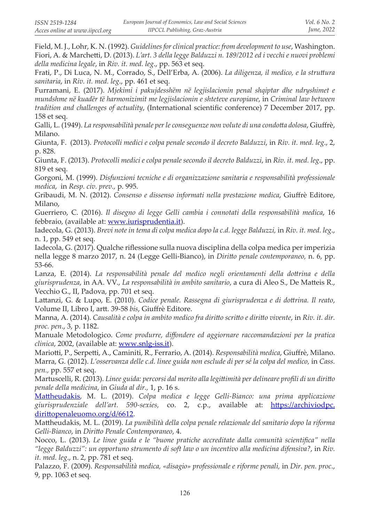Field, M. J., Lohr, K. N. (1992). *Guidelines for clinical practice: from development to use*, Washington. Fiori, A. & Marchetti, D. (2013). *L'art. 3 della legge Balduzzi n. 189/2012 ed i vecchi e nuovi problemi della medicina legale*, in *Riv. it. med. leg*., pp. 563 et seq.

Frati, P., Di Luca, N. M., Corrado, S., Dell'Erba, A. (2006). *La diligenza, il medico, e la struttura sanitaria*, in *Riv. it. med. leg*., pp. 461 et seq.

Furramani, E. (2017). *Mjekimi i pakujdesshëm në legjislacionin penal shqiptar dhe ndryshimet e mundshme në kuadër të harmonizimit me legjislacionin e shteteve europiane*, in *Criminal law between tradition and challenges of actuality*, (International scientific conference) 7 December 2017, pp. 158 et seq.

Galli, L. (1949). *La responsabilità penale per le conseguenze non volute di una condotta dolosa*, Giuffrè, Milano.

Giunta, F. (2013). *Protocolli medici e colpa penale secondo il decreto Balduzzi*, in *Riv. it. med. leg*., 2, p. 828.

Giunta, F. (2013). *Protocolli medici e colpa penale secondo il decreto Balduzzi*, in *Riv. it. med. leg*., pp. 819 et seq.

Gorgoni*,* M. (1999). *Disfunzioni tecniche e di organizzazione sanitaria e responsabilità professionale medica*, in *Resp. civ. prev.,* p. 995.

Gribaudi, M. N. (2012). *Consenso e dissenso informati nella prestazione medica*, Giuffrè Editore, Milano,

Guerriero, C. (2016). *Il disegno di legge Gelli cambia i connotati della responsabilità medica*, 16 febbraio, (available at: www.iurisprudentia.it).

Iadecola, G. (2013). *Brevi note in tema di colpa medica dopo la c.d. legge Balduzzi,* in *Riv. it. med. leg*., n. 1, pp. 549 et seq.

Iadecola, G. (2017). Qualche riflessione sulla nuova disciplina della colpa medica per imperizia nella legge 8 marzo 2017, n. 24 (Legge Gelli-Bianco), in *Diritto penale contemporaneo,* n. 6, pp. 53-66.

Lanza, E. (2014). *La responsabilità penale del medico negli orientamenti della dottrina e della giurisprudenza*, in AA. VV., *La responsabilità in ambito sanitario*, a cura di Aleo S., De Matteis R., Vecchio G., II, Padova, pp. 701 et seq.

Lattanzi, G. & Lupo, E. (2010). *Codice penale. Rassegna di giurisprudenza e di dottrina. Il reato*, Volume II, Libro I, artt. 39-58 *bis*, Giuffrè Editore.

Manna, A. (2014). *Causalità e colpa in ambito medico fra diritto scritto e diritto vivente*, in *Riv. it. dir. proc. pen*., 3, p. 1182.

Manuale Metodologico. *Come produrre, diffondere ed aggiornare raccomandazioni per la pratica clinica*, 2002, (available at: www.snlg-iss.it).

Mariotti, P., Serpetti, A., Caminiti, R., Ferrario, A. (2014). *Responsabilità medica*, Giuffrè, Milano. Marra, G. (2012). *L'osservanza delle c.d. linee guida non esclude di per sé la colpa del medico,* in *Cass. pen.,* pp. 557 et seq.

Martuscelli, R. (2013). *Linee guida: percorsi dal merito alla legittimità per delineare profili di un diritto penale della medicina*, in *Giuda al dir.,* 1, p. 16 s.

Mattheudakis, M. L. (2019). *Colpa medica e legge Gelli-Bianco: una prima applicazione giurisprudenziale dell'art. 590-sexies,* co. 2, c.p., available at: https://archiviodpc. dirittopenaleuomo.org/d/6612.

Mattheudakis, M. L. (2019). *La punibilità della colpa penale relazionale del sanitario dopo la riforma Gelli-Bianco*, in *Diritto Penale Contemporaneo*, 4.

Nocco, L. (2013). *Le linee guida e le "buone pratiche accreditate dalla comunità scientifica" nella "legge Balduzzi": un opportuno strumento di soft law o un incentivo alla medicina difensiva?*, in *Riv. it. med. leg*., n. 2, pp. 781 et seq.

Palazzo, F. (2009). *Responsabilità medica, «disagio» professionale e riforme penali,* in *Dir. pen. proc*., 9, pp. 1063 et seq.